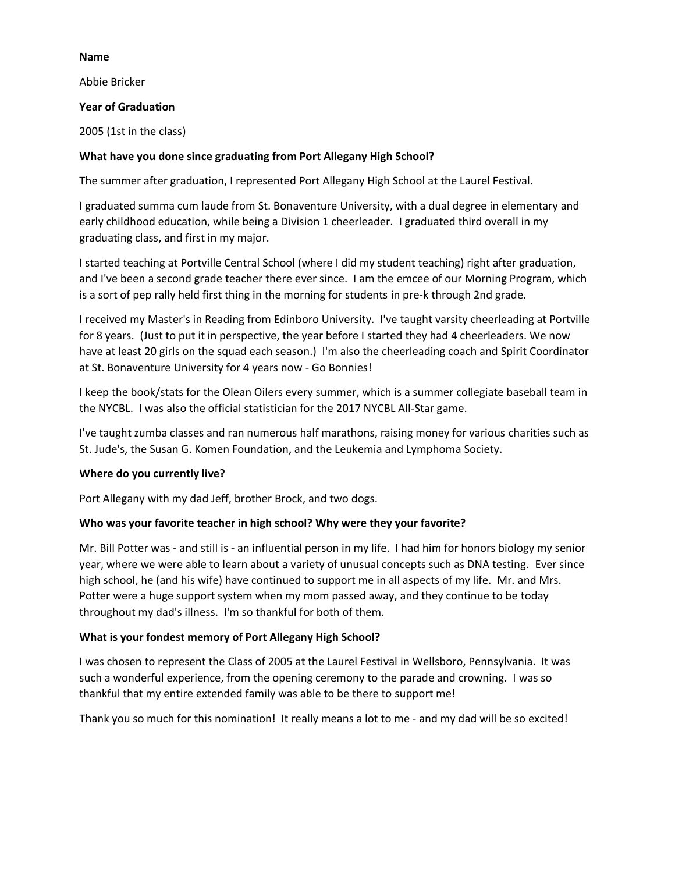#### **Name**

Abbie Bricker

### **Year of Graduation**

2005 (1st in the class)

### **What have you done since graduating from Port Allegany High School?**

The summer after graduation, I represented Port Allegany High School at the Laurel Festival.

I graduated summa cum laude from St. Bonaventure University, with a dual degree in elementary and early childhood education, while being a Division 1 cheerleader. I graduated third overall in my graduating class, and first in my major.

I started teaching at Portville Central School (where I did my student teaching) right after graduation, and I've been a second grade teacher there ever since. I am the emcee of our Morning Program, which is a sort of pep rally held first thing in the morning for students in pre-k through 2nd grade.

I received my Master's in Reading from Edinboro University. I've taught varsity cheerleading at Portville for 8 years. (Just to put it in perspective, the year before I started they had 4 cheerleaders. We now have at least 20 girls on the squad each season.) I'm also the cheerleading coach and Spirit Coordinator at St. Bonaventure University for 4 years now - Go Bonnies!

I keep the book/stats for the Olean Oilers every summer, which is a summer collegiate baseball team in the NYCBL. I was also the official statistician for the 2017 NYCBL All-Star game.

I've taught zumba classes and ran numerous half marathons, raising money for various charities such as St. Jude's, the Susan G. Komen Foundation, and the Leukemia and Lymphoma Society.

### **Where do you currently live?**

Port Allegany with my dad Jeff, brother Brock, and two dogs.

# **Who was your favorite teacher in high school? Why were they your favorite?**

Mr. Bill Potter was - and still is - an influential person in my life. I had him for honors biology my senior year, where we were able to learn about a variety of unusual concepts such as DNA testing. Ever since high school, he (and his wife) have continued to support me in all aspects of my life. Mr. and Mrs. Potter were a huge support system when my mom passed away, and they continue to be today throughout my dad's illness. I'm so thankful for both of them.

# **What is your fondest memory of Port Allegany High School?**

I was chosen to represent the Class of 2005 at the Laurel Festival in Wellsboro, Pennsylvania. It was such a wonderful experience, from the opening ceremony to the parade and crowning. I was so thankful that my entire extended family was able to be there to support me!

Thank you so much for this nomination! It really means a lot to me - and my dad will be so excited!